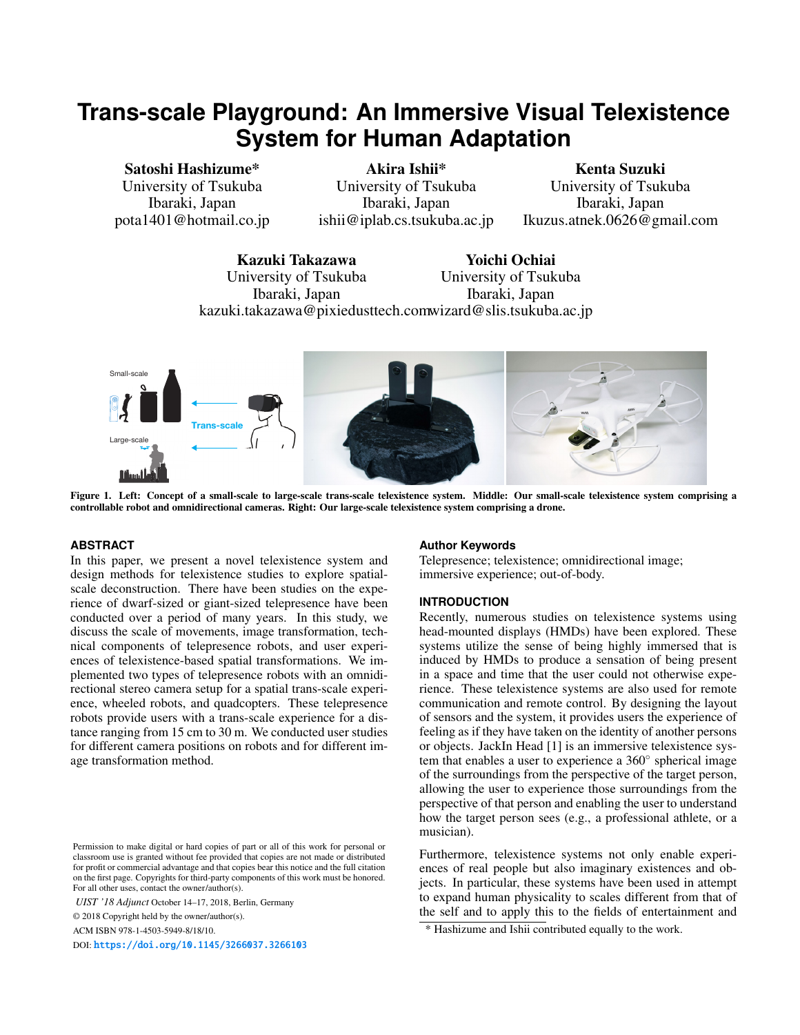# **Trans-scale Playground: An Immersive Visual Telexistence System for Human Adaptation**

Satoshi Hashizume\* University of Tsukuba Ibaraki, Japan pota1401@hotmail.co.jp

Akira Ishii\* University of Tsukuba Ibaraki, Japan ishii@iplab.cs.tsukuba.ac.jp

Kenta Suzuki University of Tsukuba Ibaraki, Japan Ikuzus.atnek.0626@gmail.com

Kazuki Takazawa University of Tsukuba Ibaraki, Japan kazuki.takazawa@pixiedusttech.com wizard@slis.tsukuba.ac.jp Yoichi Ochiai University of Tsukuba Ibaraki, Japan



Figure 1. Left: Concept of a small-scale to large-scale trans-scale telexistence system. Middle: Our small-scale telexistence system comprising a controllable robot and omnidirectional cameras. Right: Our large-scale telexistence system comprising a drone.

# <span id="page-0-0"></span>**ABSTRACT**

In this paper, we present a novel telexistence system and design methods for telexistence studies to explore spatialscale deconstruction. There have been studies on the experience of dwarf-sized or giant-sized telepresence have been conducted over a period of many years. In this study, we discuss the scale of movements, image transformation, technical components of telepresence robots, and user experiences of telexistence-based spatial transformations. We implemented two types of telepresence robots with an omnidirectional stereo camera setup for a spatial trans-scale experience, wheeled robots, and quadcopters. These telepresence robots provide users with a trans-scale experience for a distance ranging from 15 cm to 30 m. We conducted user studies for different camera positions on robots and for different image transformation method.

ACM ISBN 978-1-4503-5949-8/18/10.

DOI: <https://doi.org/10.1145/3266037.3266103>

### **Author Keywords**

Telepresence; telexistence; omnidirectional image; immersive experience; out-of-body.

## **INTRODUCTION**

Recently, numerous studies on telexistence systems using head-mounted displays (HMDs) have been explored. These systems utilize the sense of being highly immersed that is induced by HMDs to produce a sensation of being present in a space and time that the user could not otherwise experience. These telexistence systems are also used for remote communication and remote control. By designing the layout of sensors and the system, it provides users the experience of feeling as if they have taken on the identity of another persons or objects. JackIn Head [\[1\]](#page-2-0) is an immersive telexistence system that enables a user to experience a 360*◦* spherical image of the surroundings from the perspective of the target person, allowing the user to experience those surroundings from the perspective of that person and enabling the user to understand how the target person sees (e.g., a professional athlete, or a musician).

Furthermore, telexistence systems not only enable experiences of real people but also imaginary existences and objects. In particular, these systems have been used in attempt to expand human physicality to scales different from that of the self and to apply this to the fields of entertainment and

Permission to make digital or hard copies of part or all of this work for personal or classroom use is granted without fee provided that copies are not made or distributed for profit or commercial advantage and that copies bear this notice and the full citation on the first page. Copyrights for third-party components of this work must be honored. For all other uses, contact the owner/author(s).

*UIST '18 Adjunct* October 14–17, 2018, Berlin, Germany

<sup>© 2018</sup> Copyright held by the owner/author(s).

<sup>\*</sup> Hashizume and Ishii contributed equally to the work.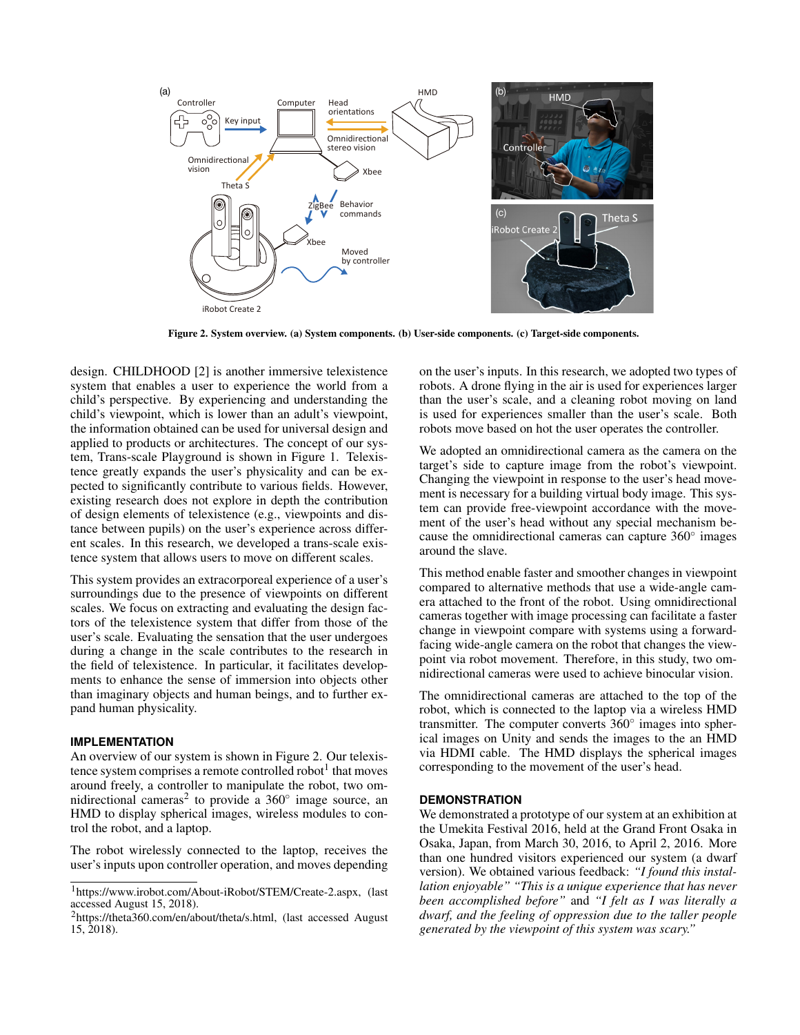

<span id="page-1-0"></span>Figure 2. System overview. (a) System components. (b) User-side components. (c) Target-side components.

design. CHILDHOOD [\[2\]](#page-2-1) is another immersive telexistence system that enables a user to experience the world from a child's perspective. By experiencing and understanding the child's viewpoint, which is lower than an adult's viewpoint, the information obtained can be used for universal design and applied to products or architectures. The concept of our system, Trans-scale Playground is shown in Figure [1.](#page-0-0) Telexistence greatly expands the user's physicality and can be expected to significantly contribute to various fields. However, existing research does not explore in depth the contribution of design elements of telexistence (e.g., viewpoints and distance between pupils) on the user's experience across different scales. In this research, we developed a trans-scale existence system that allows users to move on different scales.

This system provides an extracorporeal experience of a user's surroundings due to the presence of viewpoints on different scales. We focus on extracting and evaluating the design factors of the telexistence system that differ from those of the user's scale. Evaluating the sensation that the user undergoes during a change in the scale contributes to the research in the field of telexistence. In particular, it facilitates developments to enhance the sense of immersion into objects other than imaginary objects and human beings, and to further expand human physicality.

#### **IMPLEMENTATION**

An overview of our system is shown in Figure [2.](#page-1-0) Our telexis-tence system comprises a remote controlled robot<sup>[1](#page-1-1)</sup> that moves around freely, a controller to manipulate the robot, two om-nidirectional cameras<sup>[2](#page-1-2)</sup> to provide a 360<sup>°</sup> image source, an HMD to display spherical images, wireless modules to control the robot, and a laptop.

The robot wirelessly connected to the laptop, receives the user's inputs upon controller operation, and moves depending

on the user's inputs. In this research, we adopted two types of robots. A drone flying in the air is used for experiences larger than the user's scale, and a cleaning robot moving on land is used for experiences smaller than the user's scale. Both robots move based on hot the user operates the controller.

We adopted an omnidirectional camera as the camera on the target's side to capture image from the robot's viewpoint. Changing the viewpoint in response to the user's head movement is necessary for a building virtual body image. This system can provide free-viewpoint accordance with the movement of the user's head without any special mechanism because the omnidirectional cameras can capture 360*◦* images around the slave.

This method enable faster and smoother changes in viewpoint compared to alternative methods that use a wide-angle camera attached to the front of the robot. Using omnidirectional cameras together with image processing can facilitate a faster change in viewpoint compare with systems using a forwardfacing wide-angle camera on the robot that changes the viewpoint via robot movement. Therefore, in this study, two omnidirectional cameras were used to achieve binocular vision.

The omnidirectional cameras are attached to the top of the robot, which is connected to the laptop via a wireless HMD transmitter. The computer converts 360*◦* images into spherical images on Unity and sends the images to the an HMD via HDMI cable. The HMD displays the spherical images corresponding to the movement of the user's head.

#### **DEMONSTRATION**

We demonstrated a prototype of our system at an exhibition at the Umekita Festival 2016, held at the Grand Front Osaka in Osaka, Japan, from March 30, 2016, to April 2, 2016. More than one hundred visitors experienced our system (a dwarf version). We obtained various feedback: *"I found this installation enjoyable" "This is a unique experience that has never been accomplished before"* and *"I felt as I was literally a dwarf, and the feeling of oppression due to the taller people generated by the viewpoint of this system was scary."*

<span id="page-1-1"></span><sup>1</sup>https://www.irobot.com/About-iRobot/STEM/Create-2.aspx, (last accessed August 15, 2018).

<span id="page-1-2"></span><sup>&</sup>lt;sup>2</sup>https://theta360.com/en/about/theta/s.html, (last accessed August) 15, 2018).